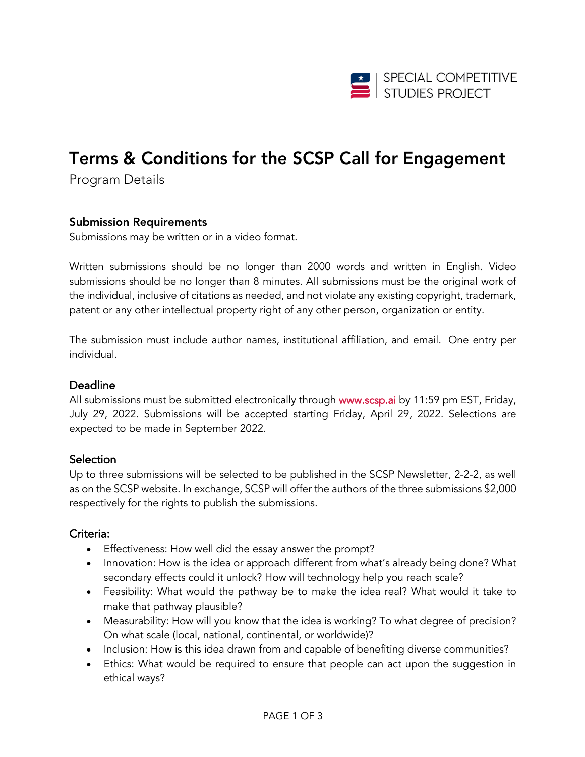

# Terms & Conditions for the SCSP Call for Engagement

Program Details

#### Submission Requirements

Submissions may be written or in a video format.

Written submissions should be no longer than 2000 words and written in English. Video submissions should be no longer than 8 minutes. All submissions must be the original work of the individual, inclusive of citations as needed, and not violate any existing copyright, trademark, patent or any other intellectual property right of any other person, organization or entity.

The submission must include author names, institutional affiliation, and email. One entry per individual.

#### Deadline

All submissions must be submitted electronically through www.scsp.ai by 11:59 pm EST, Friday, July 29, 2022. Submissions will be accepted starting Friday, April 29, 2022. Selections are expected to be made in September 2022.

#### **Selection**

Up to three submissions will be selected to be published in the SCSP Newsletter, 2-2-2, as well as on the SCSP website. In exchange, SCSP will offer the authors of the three submissions \$2,000 respectively for the rights to publish the submissions.

#### Criteria:

- Effectiveness: How well did the essay answer the prompt?
- Innovation: How is the idea or approach different from what's already being done? What secondary effects could it unlock? How will technology help you reach scale?
- Feasibility: What would the pathway be to make the idea real? What would it take to make that pathway plausible?
- Measurability: How will you know that the idea is working? To what degree of precision? On what scale (local, national, continental, or worldwide)?
- Inclusion: How is this idea drawn from and capable of benefiting diverse communities?
- Ethics: What would be required to ensure that people can act upon the suggestion in ethical ways?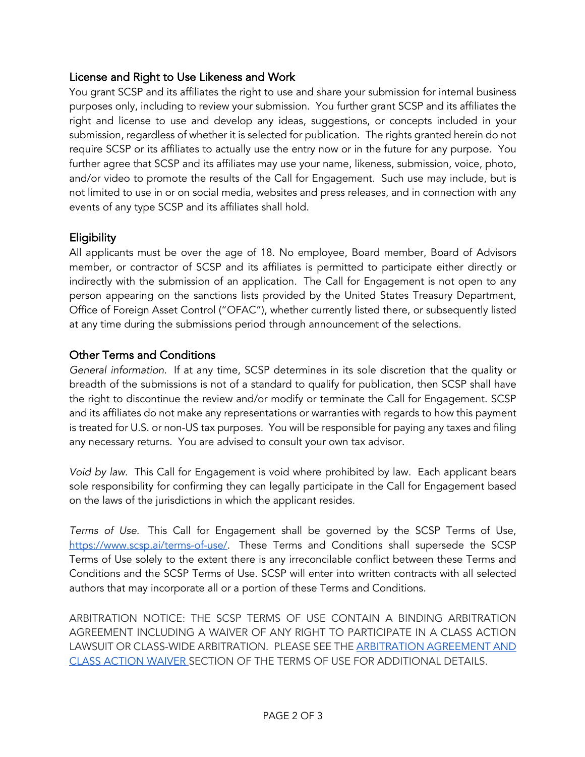## License and Right to Use Likeness and Work

You grant SCSP and its affiliates the right to use and share your submission for internal business purposes only, including to review your submission. You further grant SCSP and its affiliates the right and license to use and develop any ideas, suggestions, or concepts included in your submission, regardless of whether it is selected for publication. The rights granted herein do not require SCSP or its affiliates to actually use the entry now or in the future for any purpose. You further agree that SCSP and its affiliates may use your name, likeness, submission, voice, photo, and/or video to promote the results of the Call for Engagement. Such use may include, but is not limited to use in or on social media, websites and press releases, and in connection with any events of any type SCSP and its affiliates shall hold.

## **Eligibility**

All applicants must be over the age of 18. No employee, Board member, Board of Advisors member, or contractor of SCSP and its affiliates is permitted to participate either directly or indirectly with the submission of an application. The Call for Engagement is not open to any person appearing on the sanctions lists provided by the United States Treasury Department, Office of Foreign Asset Control ("OFAC"), whether currently listed there, or subsequently listed at any time during the submissions period through announcement of the selections.

## Other Terms and Conditions

*General information*. If at any time, SCSP determines in its sole discretion that the quality or breadth of the submissions is not of a standard to qualify for publication, then SCSP shall have the right to discontinue the review and/or modify or terminate the Call for Engagement. SCSP and its affiliates do not make any representations or warranties with regards to how this payment is treated for U.S. or non-US tax purposes. You will be responsible for paying any taxes and filing any necessary returns. You are advised to consult your own tax advisor.

*Void by law*. This Call for Engagement is void where prohibited by law. Each applicant bears sole responsibility for confirming they can legally participate in the Call for Engagement based on the laws of the jurisdictions in which the applicant resides.

*Terms of Use*. This Call for Engagement shall be governed by the SCSP Terms of Use, https://www.scsp.ai/terms-of-use/. These Terms and Conditions shall supersede the SCSP Terms of Use solely to the extent there is any irreconcilable conflict between these Terms and Conditions and the SCSP Terms of Use. SCSP will enter into written contracts with all selected authors that may incorporate all or a portion of these Terms and Conditions.

ARBITRATION NOTICE: THE SCSP TERMS OF USE CONTAIN A BINDING ARBITRATION AGREEMENT INCLUDING A WAIVER OF ANY RIGHT TO PARTICIPATE IN A CLASS ACTION LAWSUIT OR CLASS-WIDE ARBITRATION. PLEASE SEE THE **ARBITRATION AGREEMENT AND** CLASS ACTION WAIVER SECTION OF THE TERMS OF USE FOR ADDITIONAL DETAILS.